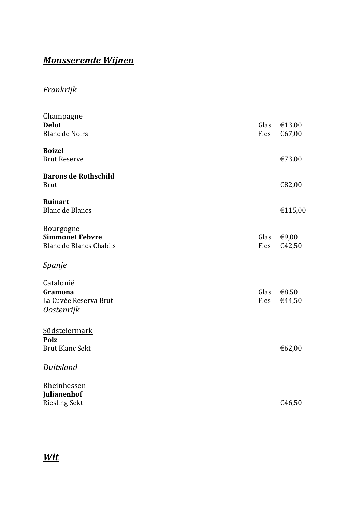# Mousserende Wijnen

Frankrijk

| Champagne                      |      |         |
|--------------------------------|------|---------|
| <b>Delot</b>                   | Glas | €13,00  |
| <b>Blanc de Noirs</b>          | Fles | €67,00  |
| <b>Boizel</b>                  |      |         |
| <b>Brut Reserve</b>            |      | €73,00  |
| <b>Barons de Rothschild</b>    |      |         |
| <b>Brut</b>                    |      | €82,00  |
| Ruinart                        |      |         |
| <b>Blanc de Blancs</b>         |      | €115,00 |
| <b>Bourgogne</b>               |      |         |
| <b>Simmonet Febvre</b>         | Glas | €9,00   |
| <b>Blanc de Blancs Chablis</b> | Fles | €42,50  |
| Spanje                         |      |         |
| Catalonië                      |      |         |
| Gramona                        | Glas | €8,50   |
| La Cuvée Reserva Brut          | Fles | €44,50  |
| <b>Oostenrijk</b>              |      |         |
| Südsteiermark                  |      |         |
| Polz                           |      |         |
| <b>Brut Blanc Sekt</b>         |      | €62,00  |
| Duitsland                      |      |         |
| Rheinhessen                    |      |         |
| Julianenhof                    |      |         |
| <b>Riesling Sekt</b>           |      | €46,50  |

## Wit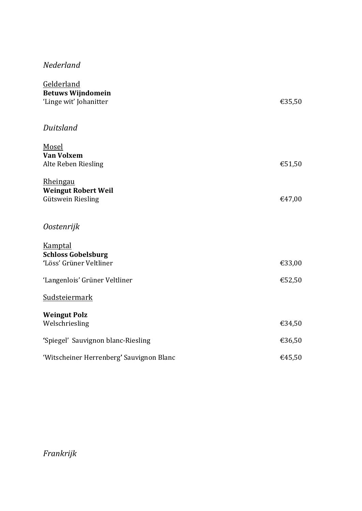### Nederland

| Gelderland                               |        |
|------------------------------------------|--------|
| <b>Betuws Wijndomein</b>                 |        |
| 'Linge wit' Johanitter                   | €35,50 |
|                                          |        |
| Duitsland                                |        |
|                                          |        |
| Mosel                                    |        |
| <b>Van Volxem</b>                        |        |
| Alte Reben Riesling                      | €51,50 |
| <b>Rheingau</b>                          |        |
| <b>Weingut Robert Weil</b>               |        |
| <b>Gütswein Riesling</b>                 | €47,00 |
|                                          |        |
| Oostenrijk                               |        |
|                                          |        |
| <b>Kamptal</b>                           |        |
| <b>Schloss Gobelsburg</b>                |        |
| 'Löss' Grüner Veltliner                  | €33,00 |
| 'Langenlois' Grüner Veltliner            | €52,50 |
|                                          |        |
| Sudsteiermark                            |        |
| <b>Weingut Polz</b>                      |        |
| Welschriesling                           | €34,50 |
|                                          |        |
| 'Spiegel' Sauvignon blanc-Riesling       | €36,50 |
|                                          |        |
| 'Witscheiner Herrenberg' Sauvignon Blanc | €45,50 |

Frankrijk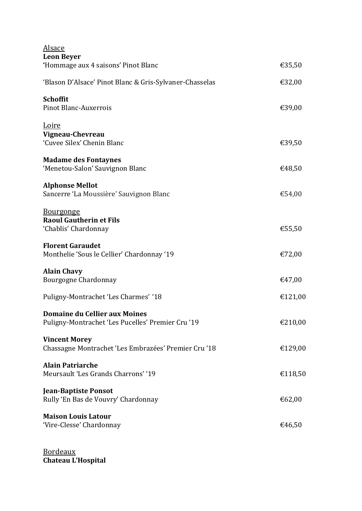| Alsace<br><b>Leon Beyer</b>                                                        |         |
|------------------------------------------------------------------------------------|---------|
| 'Hommage aux 4 saisons' Pinot Blanc                                                | €35,50  |
| 'Blason D'Alsace' Pinot Blanc & Gris-Sylvaner-Chasselas                            | €32,00  |
| <b>Schoffit</b><br><b>Pinot Blanc-Auxerrois</b>                                    | €39,00  |
| <u>Loire</u><br>Vigneau-Chevreau<br>'Cuvee Silex' Chenin Blanc                     | €39,50  |
| <b>Madame des Fontaynes</b><br>'Menetou-Salon' Sauvignon Blanc                     | €48,50  |
| <b>Alphonse Mellot</b><br>Sancerre 'La Moussière' Sauvignon Blanc                  | €54,00  |
| <b>Bourgonge</b><br><b>Raoul Gautherin et Fils</b><br>'Chablis' Chardonnay         | €55,50  |
| <b>Florent Garaudet</b><br>Monthelie 'Sous le Cellier' Chardonnay '19              | €72,00  |
| <b>Alain Chavy</b><br>Bourgogne Chardonnay                                         | €47,00  |
| Puligny-Montrachet 'Les Charmes' '18                                               | €121,00 |
| Domaine du Cellier aux Moines<br>Puligny-Montrachet 'Les Pucelles' Premier Cru '19 | €210,00 |
| <b>Vincent Morey</b><br>Chassagne Montrachet 'Les Embrazées' Premier Cru '18       | €129,00 |
| <b>Alain Patriarche</b><br>Meursault 'Les Grands Charrons' '19                     | €118,50 |
| <b>Jean-Baptiste Ponsot</b><br>Rully 'En Bas de Vouvry' Chardonnay                 | €62,00  |
| <b>Maison Louis Latour</b><br>'Vire-Clesse' Chardonnay                             | €46,50  |

Bordeaux Chateau L'Hospital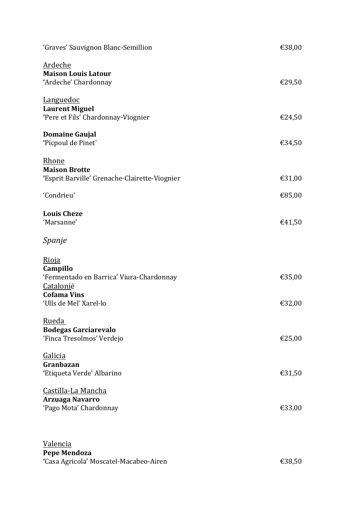| 'Graves' Sauvignon Blanc-Semillion                                                                                                | €38,00           |
|-----------------------------------------------------------------------------------------------------------------------------------|------------------|
| Ardeche<br><b>Maison Louis Latour</b><br>'Ardeche' Chardonnay                                                                     | €29,50           |
| <b>Languedoc</b><br><b>Laurent Miguel</b><br>'Pere et Fils' Chardonnay-Viognier                                                   | €24,50           |
| <b>Domaine Gaujal</b><br>'Picpoul de Pinet'                                                                                       | €34,50           |
| Rhone<br><b>Maison Brotte</b><br>'Esprit Barville' Grenache-Clairette-Viognier<br>'Condrieu'                                      | €31,00<br>€85,00 |
| <b>Louis Cheze</b><br>'Marsanne'                                                                                                  | €41,50           |
| Spanje                                                                                                                            |                  |
| Rioja<br>Campillo<br>'Fermentado en Barrica' Viura-Chardonnay<br><b>Catalonië</b><br><b>Cofama Vins</b><br>'Ulls de Mel' Xarel-lo | €35,00<br>€32,00 |
| Rueda<br><b>Bodegas Garciarevalo</b><br>'Finca Tresolmos' Verdejo                                                                 | €25,00           |
| <b>Galicia</b><br>Granbazan<br>'Etiqueta Verde' Albarino                                                                          | €31,50           |
| <u> Castilla-La Mancha</u><br><b>Arzuaga Navarro</b><br>'Pago Mota' Chardonnay                                                    | €33,00           |
| Valencia<br><b>Pepe Mendoza</b><br>'Casa Agricola' Moscatel-Macabeo-Airen                                                         | €38,50           |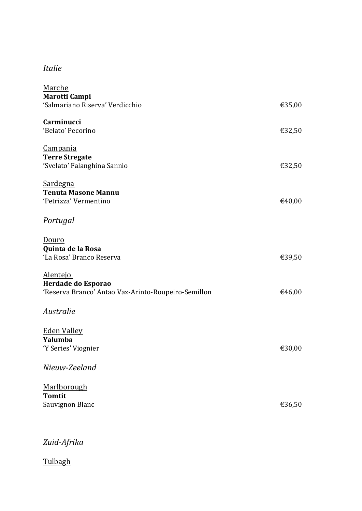## Italie

| Marche                                              |        |
|-----------------------------------------------------|--------|
| <b>Marotti Campi</b>                                |        |
| 'Salmariano Riserva' Verdicchio                     | €35,00 |
| Carminucci                                          |        |
| 'Belato' Pecorino                                   |        |
|                                                     | €32,50 |
| <u>Campania</u>                                     |        |
| <b>Terre Stregate</b>                               |        |
| 'Svelato' Falanghina Sannio                         | €32,50 |
|                                                     |        |
| <b>Sardegna</b>                                     |        |
| <b>Tenuta Masone Mannu</b>                          |        |
| 'Petrizza' Vermentino                               | €40,00 |
|                                                     |        |
| Portugal                                            |        |
|                                                     |        |
| Douro                                               |        |
|                                                     |        |
| Quinta de la Rosa<br>'La Rosa' Branco Reserva       | €39,50 |
|                                                     |        |
| <u>Alentejo</u>                                     |        |
| Herdade do Esporao                                  |        |
| 'Reserva Branco' Antao Vaz-Arinto-Roupeiro-Semillon | €46,00 |
|                                                     |        |
| Australie                                           |        |
|                                                     |        |
|                                                     |        |
| <b>Eden Valley</b>                                  |        |
| Yalumba                                             |        |
| 'Y Series' Viognier                                 | €30,00 |
|                                                     |        |
| Nieuw-Zeeland                                       |        |
|                                                     |        |
| Marlborough                                         |        |
| <b>Tomtit</b>                                       |        |
| Sauvignon Blanc                                     | €36,50 |
|                                                     |        |
|                                                     |        |

## Zuid-Afrika

**Tulbagh**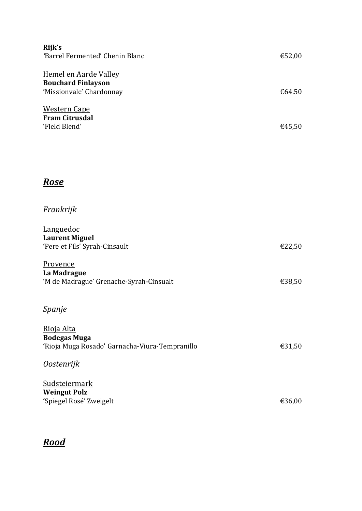| Rijk's<br>'Barrel Fermented' Chenin Blanc                             |        |
|-----------------------------------------------------------------------|--------|
|                                                                       | €52,00 |
| <u>Hemel en Aarde Valley</u><br><b>Bouchard Finlayson</b>             |        |
| 'Missionvale' Chardonnay                                              | €64.50 |
| <b>Western Cape</b>                                                   |        |
| <b>Fram Citrusdal</b><br>'Field Blend'                                |        |
|                                                                       | €45,50 |
|                                                                       |        |
|                                                                       |        |
| <u>Rose</u>                                                           |        |
|                                                                       |        |
| Frankrijk                                                             |        |
| Languedoc                                                             |        |
| <b>Laurent Miguel</b><br>'Pere et Fils' Syrah-Cinsault                | €22,50 |
|                                                                       |        |
| Provence<br>La Madrague                                               |        |
| 'M de Madrague' Grenache-Syrah-Cinsualt                               | €38,50 |
|                                                                       |        |
| Spanje                                                                |        |
| Rioja Alta                                                            |        |
| <b>Bodegas Muga</b><br>'Rioja Muga Rosado' Garnacha-Viura-Tempranillo | €31,50 |
|                                                                       |        |
| <i>Oostenrijk</i>                                                     |        |
| <b>Sudsteiermark</b>                                                  |        |
| <b>Weingut Polz</b><br>'Spiegel Rosé' Zweigelt                        | €36,00 |
|                                                                       |        |

# Rood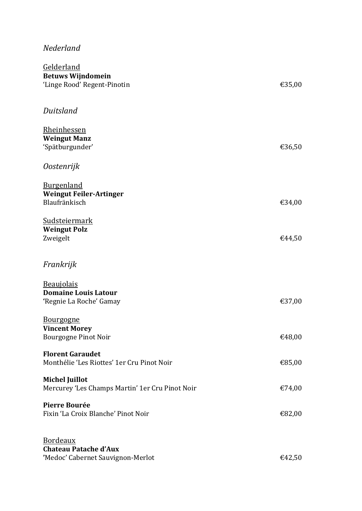### Nederland

| Gelderland<br><b>Betuws Wijndomein</b><br>'Linge Rood' Regent-Pinotin                | €35,00 |
|--------------------------------------------------------------------------------------|--------|
| Duitsland                                                                            |        |
| Rheinhessen<br><b>Weingut Manz</b><br>'Spätburgunder'                                | €36,50 |
| <i>Oostenrijk</i>                                                                    |        |
| <b>Burgenland</b><br><b>Weingut Feiler-Artinger</b><br>Blaufränkisch                 | €34,00 |
| <b>Sudsteiermark</b><br><b>Weingut Polz</b><br>Zweigelt                              | €44,50 |
| Frankrijk                                                                            |        |
| <b>Beaujolais</b><br><b>Domaine Louis Latour</b><br>'Regnie La Roche' Gamay          | €37,00 |
| <b>Bourgogne</b><br><b>Vincent Morey</b><br>Bourgogne Pinot Noir                     | €48,00 |
| <b>Florent Garaudet</b><br>Monthélie 'Les Riottes' 1er Cru Pinot Noir                | €85,00 |
| <b>Michel Juillot</b><br>Mercurey 'Les Champs Martin' 1er Cru Pinot Noir             | €74,00 |
| <b>Pierre Bourée</b><br>Fixin 'La Croix Blanche' Pinot Noir                          | €82,00 |
| <b>Bordeaux</b><br><b>Chateau Patache d'Aux</b><br>'Medoc' Cabernet Sauvignon-Merlot | €42,50 |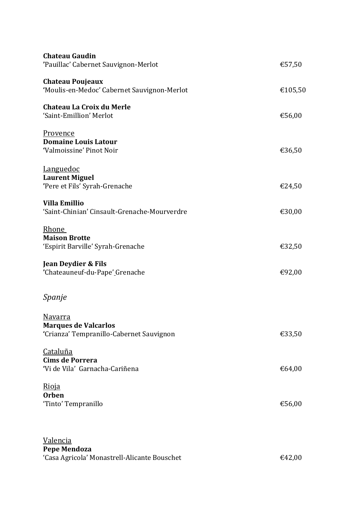| <b>Chateau Gaudin</b><br>'Pauillac' Cabernet Sauvignon-Merlot                             | €57,50  |
|-------------------------------------------------------------------------------------------|---------|
| <b>Chateau Poujeaux</b><br>'Moulis-en-Medoc' Cabernet Sauvignon-Merlot                    | €105,50 |
| Chateau La Croix du Merle<br>'Saint-Emillion' Merlot                                      | €56,00  |
| <b>Provence</b><br><b>Domaine Louis Latour</b><br>'Valmoissine' Pinot Noir                | €36,50  |
| <b>Languedoc</b><br><b>Laurent Miguel</b><br>'Pere et Fils' Syrah-Grenache                | €24,50  |
| <b>Villa Emillio</b><br>'Saint-Chinian' Cinsault-Grenache-Mourverdre                      | €30,00  |
| Rhone<br><b>Maison Brotte</b><br>'Espirit Barville' Syrah-Grenache                        | €32,50  |
| <b>Jean Deydier &amp; Fils</b><br>'Chateauneuf-du-Pape' Grenache                          | €92,00  |
| Spanje                                                                                    |         |
| <u>Navarra</u><br><b>Marques de Valcarlos</b><br>'Crianza' Tempranillo-Cabernet Sauvignon | €33,50  |
| <b>Cataluña</b><br><b>Cims de Porrera</b><br>'Vi de Vila' Garnacha-Cariñena               | €64,00  |
| <u>Rioja</u><br><b>Orben</b><br>'Tinto' Tempranillo                                       | €56,00  |
| Valencia<br><b>Pepe Mendoza</b><br>'Casa Agricola' Monastrell-Alicante Bouschet           | €42,00  |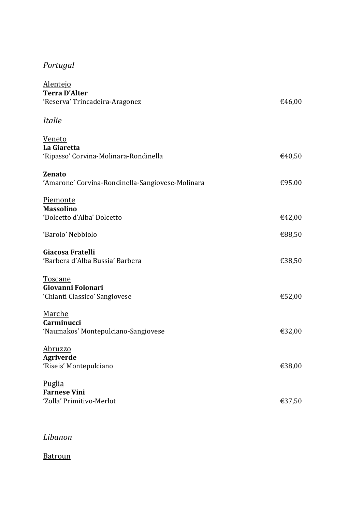## Portugal

| <u>Alentejo</u><br><b>Terra D'Alter</b><br>'Reserva' Trincadeira-Aragonez | €46,00 |
|---------------------------------------------------------------------------|--------|
| <i>Italie</i>                                                             |        |
| Veneto<br>La Giaretta<br>'Ripasso' Corvina-Molinara-Rondinella            | €40,50 |
| <b>Zenato</b><br>'Amarone' Corvina-Rondinella-Sangiovese-Molinara         | €95.00 |
| Piemonte<br><b>Massolino</b><br>'Dolcetto d'Alba' Dolcetto                | €42,00 |
| 'Barolo' Nebbiolo                                                         | €88,50 |
| Giacosa Fratelli<br>'Barbera d'Alba Bussia' Barbera                       | €38,50 |
| <b>Toscane</b><br>Giovanni Folonari<br>'Chianti Classico' Sangiovese      | €52,00 |
| Marche<br>Carminucci<br>'Naumakos' Montepulciano-Sangiovese               | €32,00 |
| <u>Abruzzo</u><br><b>Agriverde</b><br>'Riseis' Montepulciano              | €38,00 |
| Puglia<br><b>Farnese Vini</b><br>'Zolla' Primitivo-Merlot                 | €37,50 |

### Libanon

#### Batroun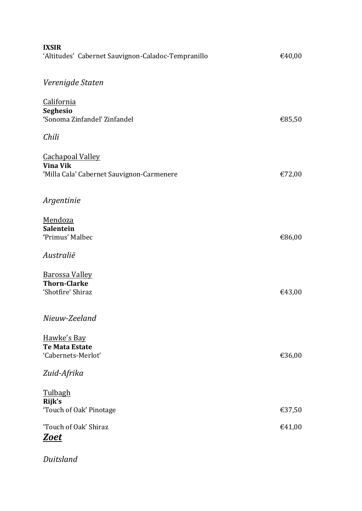| <b>IXSIR</b><br>'Altitudes' Cabernet Sauvignon-Caladoc-Tempranillo                      | €40,00 |
|-----------------------------------------------------------------------------------------|--------|
| Verenigde Staten                                                                        |        |
| California<br><b>Seghesio</b><br>'Sonoma Zinfandel' Zinfandel                           | €85,50 |
| Chili                                                                                   |        |
| <b>Cachapoal Valley</b><br><b>Vina Vik</b><br>'Milla Cala' Cabernet Sauvignon-Carmenere | €72,00 |
| Argentinie                                                                              |        |
| Mendoza<br>Salentein<br>'Primus' Malbec                                                 | €86,00 |
| Australië                                                                               |        |
| <b>Barossa Valley</b><br><b>Thorn-Clarke</b><br>'Shotfire' Shiraz                       | €43,00 |
| Nieuw-Zeeland                                                                           |        |
| Hawke's Bay<br><b>Te Mata Estate</b><br>'Cabernets-Merlot'                              | €36,00 |
| Zuid-Afrika                                                                             |        |
| <b>Tulbagh</b><br>Rijk's                                                                |        |
| 'Touch of Oak' Pinotage                                                                 | €37,50 |
| 'Touch of Oak' Shiraz<br><u>Zoet</u>                                                    | €41,00 |

Duitsland